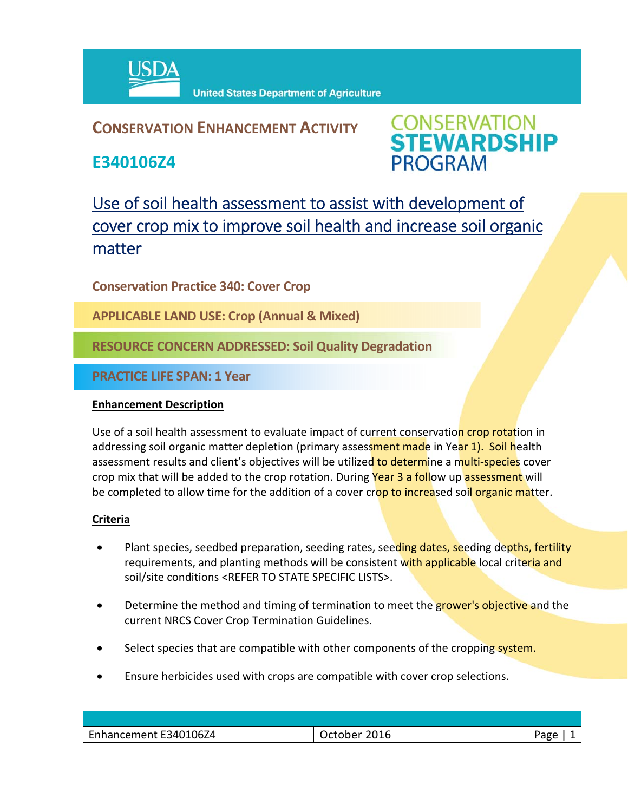

## **CONSERVATION ENHANCEMENT ACTIVITY**

**E340106Z4**



# Use of soil health assessment to assist with development of cover crop mix to improve soil health and increase soil organic matter

**Conservation Practice 340: Cover Crop** 

**APPLICABLE LAND USE: Crop (Annual & Mixed)**

**RESOURCE CONCERN ADDRESSED: Soil Quality Degradation**

**PRACTICE LIFE SPAN: 1 Year**

#### **Enhancement Description**

Use of a soil health assessment to evaluate impact of current conservation crop rotation in addressing soil organic matter depletion (primary assessment made in Year 1). Soil health assessment results and client's objectives will be utilized to determine a multi-species cover crop mix that will be added to the crop rotation. During Year 3 a follow up assessment will be completed to allow time for the addition of a cover crop to increased soll organic matter.

### **Criteria**

- Plant species, seedbed preparation, seeding rates, seeding dates, seeding depths, fertility requirements, and planting methods will be consistent with applicable local criteria and soil/site conditions <REFER TO STATE SPECIFIC LISTS>.
- Determine the method and timing of termination to meet the **grower's objective** and the current NRCS Cover Crop Termination Guidelines.
- Select species that are compatible with other components of the cropping system.
- Ensure herbicides used with crops are compatible with cover crop selections.

| Enhancement E340106Z4 | 2016<br>October | Page |
|-----------------------|-----------------|------|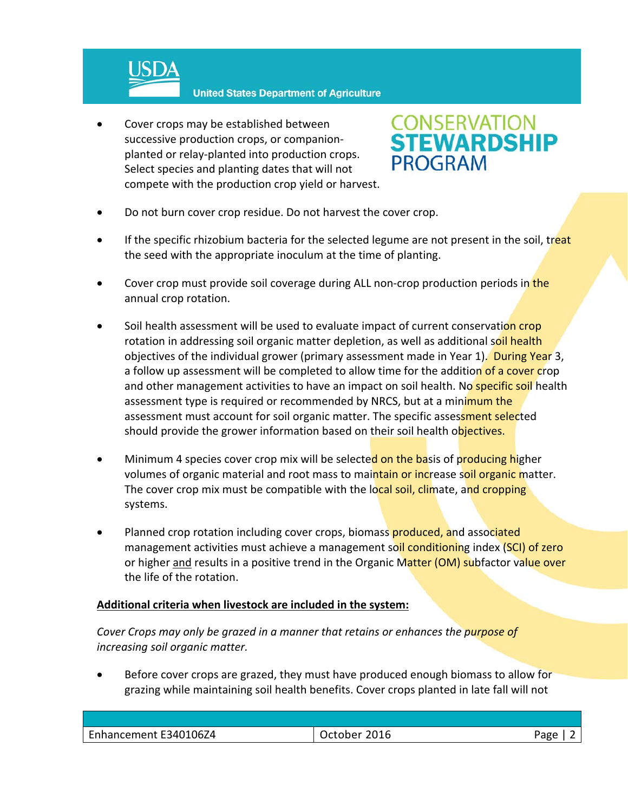

**United States Department of Agriculture** 

 Cover crops may be established between successive production crops, or companion‐ planted or relay‐planted into production crops. Select species and planting dates that will not compete with the production crop yield or harvest.



- Do not burn cover crop residue. Do not harvest the cover crop.
- If the specific rhizobium bacteria for the selected legume are not present in the soil, treat the seed with the appropriate inoculum at the time of planting.
- Cover crop must provide soil coverage during ALL non-crop production periods in the annual crop rotation.
- Soil health assessment will be used to evaluate impact of current conservation crop rotation in addressing soil organic matter depletion, as well as additional soil health objectives of the individual grower (primary assessment made in Year 1). During Year 3, a follow up assessment will be completed to allow time for the addition of a cover crop and other management activities to have an impact on soil health. No specific soil health assessment type is required or recommended by NRCS, but at a minimum the assessment must account for soil organic matter. The specific assessment selected should provide the grower information based on their soil health objectives.
- Minimum 4 species cover crop mix will be selected on the basis of producing higher volumes of organic material and root mass to maintain or increase soil organic matter. The cover crop mix must be compatible with the local soil, climate, and cropping systems.
- Planned crop rotation including cover crops, biomass produced, and associated management activities must achieve a management soil conditioning index (SCI) of zero or higher and results in a positive trend in the Organic Matter (OM) subfactor value over the life of the rotation.

### **Additional criteria when livestock are included in the system:**

*Cover Crops may only be grazed in a manner that retains or enhances the purpose of increasing soil organic matter.* 

 Before cover crops are grazed, they must have produced enough biomass to allow for grazing while maintaining soil health benefits. Cover crops planted in late fall will not

| Enhancement E340106Z4 | Ctober 2016^ | Page |
|-----------------------|--------------|------|
|                       |              |      |